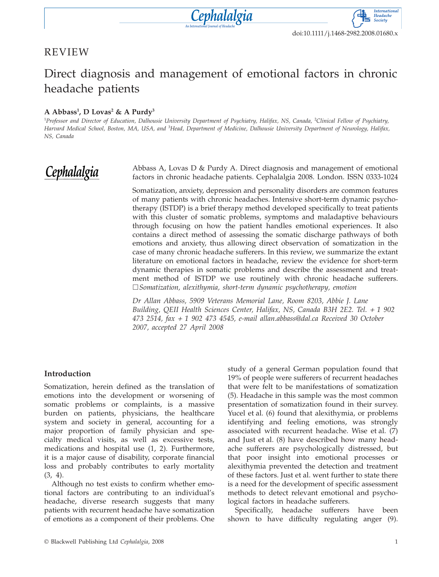### REVIEW

International<br>Headache

Society

## Direct diagnosis and management of emotional factors in chronic headache patients

Cephalalgia

*An International Journal of Headache*

#### **A Abbass1 , D Lovas2 & A Purdy3**

<sup>1</sup>Professor and Director of Education, Dalhousie University Department of Psychiatry, Halifax, NS, Canada, <sup>2</sup>Clinical Fellow of Psychiatry, *Harvard Medical School, Boston, MA, USA, and* <sup>3</sup> *Head, Department of Medicine, Dalhousie University Department of Neurology, Halifax, NS, Canada*

# Cephalalgia

Abbass A, Lovas D & Purdy A. Direct diagnosis and management of emotional factors in chronic headache patients. Cephalalgia 2008. London. ISSN 0333-1024

Somatization, anxiety, depression and personality disorders are common features of many patients with chronic headaches. Intensive short-term dynamic psychotherapy (ISTDP) is a brief therapy method developed specifically to treat patients with this cluster of somatic problems, symptoms and maladaptive behaviours through focusing on how the patient handles emotional experiences. It also contains a direct method of assessing the somatic discharge pathways of both emotions and anxiety, thus allowing direct observation of somatization in the case of many chronic headache sufferers. In this review, we summarize the extant literature on emotional factors in headache, review the evidence for short-term dynamic therapies in somatic problems and describe the assessment and treatment method of ISTDP we use routinely with chronic headache sufferers. -*Somatization, alexithymia, short-term dynamic psychotherapy, emotion*

*Dr Allan Abbass, 5909 Veterans Memorial Lane, Room 8203, Abbie J. Lane Building, QEII Health Sciences Center, Halifax, NS, Canada B3H 2E2. Tel.* + *1 902 473 2514, fax* + *1 902 473 4545, e-mail allan[.abbass@dal.ca R](mailto:abbass@dal.ca)eceived 30 October 2007, accepted 27 April 2008*

#### **Introduction**

Somatization, herein defined as the translation of emotions into the development or worsening of somatic problems or complaints, is a massive burden on patients, physicians, the healthcare system and society in general, accounting for a major proportion of family physician and specialty medical visits, as well as excessive tests, medications and hospital use (1, 2). Furthermore, it is a major cause of disability, corporate financial loss and probably contributes to early mortality (3, 4).

Although no test exists to confirm whether emotional factors are contributing to an individual's headache, diverse research suggests that many patients with recurrent headache have somatization of emotions as a component of their problems. One

study of a general German population found that 19% of people were sufferers of recurrent headaches that were felt to be manifestations of somatization (5). Headache in this sample was the most common presentation of somatization found in their survey. Yucel et al. (6) found that alexithymia, or problems identifying and feeling emotions, was strongly associated with recurrent headache. Wise et al. (7) and Just et al. (8) have described how many headache sufferers are psychologically distressed, but that poor insight into emotional processes or alexithymia prevented the detection and treatment of these factors. Just et al. went further to state there is a need for the development of specific assessment methods to detect relevant emotional and psychological factors in headache sufferers.

Specifically, headache sufferers have been shown to have difficulty regulating anger (9).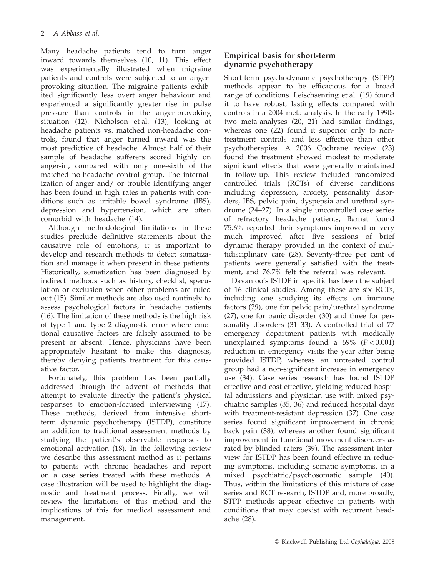Many headache patients tend to turn anger inward towards themselves (10, 11). This effect was experimentally illustrated when migraine patients and controls were subjected to an angerprovoking situation. The migraine patients exhibited significantly less overt anger behaviour and experienced a significantly greater rise in pulse pressure than controls in the anger-provoking situation (12). Nicholson et al. (13), looking at headache patients vs. matched non-headache controls, found that anger turned inward was the most predictive of headache. Almost half of their sample of headache sufferers scored highly on anger-in, compared with only one-sixth of the matched no-headache control group. The internalization of anger and/ or trouble identifying anger has been found in high rates in patients with conditions such as irritable bowel syndrome (IBS), depression and hypertension, which are often comorbid with headache (14).

Although methodological limitations in these studies preclude definitive statements about the causative role of emotions, it is important to develop and research methods to detect somatization and manage it when present in these patients. Historically, somatization has been diagnosed by indirect methods such as history, checklist, speculation or exclusion when other problems are ruled out (15). Similar methods are also used routinely to assess psychological factors in headache patients (16). The limitation of these methods is the high risk of type 1 and type 2 diagnostic error where emotional causative factors are falsely assumed to be present or absent. Hence, physicians have been appropriately hesitant to make this diagnosis, thereby denying patients treatment for this causative factor.

Fortunately, this problem has been partially addressed through the advent of methods that attempt to evaluate directly the patient's physical responses to emotion-focused interviewing (17). These methods, derived from intensive shortterm dynamic psychotherapy (ISTDP), constitute an addition to traditional assessment methods by studying the patient's observable responses to emotional activation (18). In the following review we describe this assessment method as it pertains to patients with chronic headaches and report on a case series treated with these methods. A case illustration will be used to highlight the diagnostic and treatment process. Finally, we will review the limitations of this method and the implications of this for medical assessment and management.

### **Empirical basis for short-term dynamic psychotherapy**

Short-term psychodynamic psychotherapy (STPP) methods appear to be efficacious for a broad range of conditions. Leischsenring et al. (19) found it to have robust, lasting effects compared with controls in a 2004 meta-analysis. In the early 1990s two meta-analyses (20, 21) had similar findings, whereas one (22) found it superior only to nontreatment controls and less effective than other psychotherapies. A 2006 Cochrane review (23) found the treatment showed modest to moderate significant effects that were generally maintained in follow-up. This review included randomized controlled trials (RCTs) of diverse conditions including depression, anxiety, personality disorders, IBS, pelvic pain, dyspepsia and urethral syndrome (24–27). In a single uncontrolled case series of refractory headache patients, Barnat found 75.6% reported their symptoms improved or very much improved after five sessions of brief dynamic therapy provided in the context of multidisciplinary care (28). Seventy-three per cent of patients were generally satisfied with the treatment, and 76.7% felt the referral was relevant.

Davanloo's ISTDP in specific has been the subject of 16 clinical studies. Among these are six RCTs, including one studying its effects on immune factors (29), one for pelvic pain/urethral syndrome (27), one for panic disorder (30) and three for personality disorders (31–33). A controlled trial of 77 emergency department patients with medically unexplained symptoms found a  $69\%$   $(P < 0.001)$ reduction in emergency visits the year after being provided ISTDP, whereas an untreated control group had a non-significant increase in emergency use (34). Case series research has found ISTDP effective and cost-effective, yielding reduced hospital admissions and physician use with mixed psychiatric samples (35, 36) and reduced hospital days with treatment-resistant depression (37). One case series found significant improvement in chronic back pain (38), whereas another found significant improvement in functional movement disorders as rated by blinded raters (39). The assessment interview for ISTDP has been found effective in reducing symptoms, including somatic symptoms, in a mixed psychiatric/psychosomatic sample (40). Thus, within the limitations of this mixture of case series and RCT research, ISTDP and, more broadly, STPP methods appear effective in patients with conditions that may coexist with recurrent headache (28).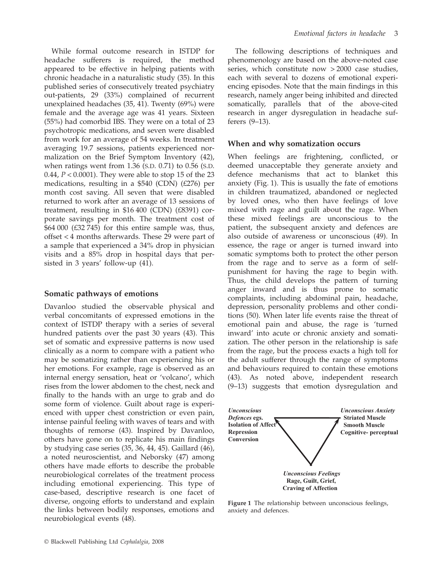While formal outcome research in ISTDP for headache sufferers is required, the method appeared to be effective in helping patients with chronic headache in a naturalistic study (35). In this published series of consecutively treated psychiatry out-patients, 29 (33%) complained of recurrent unexplained headaches (35, 41). Twenty (69%) were female and the average age was 41 years. Sixteen (55%) had comorbid IBS. They were on a total of 23 psychotropic medications, and seven were disabled from work for an average of 54 weeks. In treatment averaging 19.7 sessions, patients experienced normalization on the Brief Symptom Inventory (42), when ratings went from 1.36 (S.D. 0.71) to 0.56 (S.D. 0.44, *P* < 0.0001). They were able to stop 15 of the 23 medications, resulting in a \$540 (CDN) (£276) per month cost saving. All seven that were disabled returned to work after an average of 13 sessions of treatment, resulting in \$16 400 (CDN) (£8391) corporate savings per month. The treatment cost of \$64 000 (£32 745) for this entire sample was, thus, offset < 4 months afterwards. These 29 were part of a sample that experienced a 34% drop in physician visits and a 85% drop in hospital days that persisted in 3 years' follow-up (41).

#### **Somatic pathways of emotions**

Davanloo studied the observable physical and verbal concomitants of expressed emotions in the context of ISTDP therapy with a series of several hundred patients over the past 30 years (43). This set of somatic and expressive patterns is now used clinically as a norm to compare with a patient who may be somatizing rather than experiencing his or her emotions. For example, rage is observed as an internal energy sensation, heat or 'volcano', which rises from the lower abdomen to the chest, neck and finally to the hands with an urge to grab and do some form of violence. Guilt about rage is experienced with upper chest constriction or even pain, intense painful feeling with waves of tears and with thoughts of remorse (43). Inspired by Davanloo, others have gone on to replicate his main findings by studying case series (35, 36, 44, 45). Gaillard (46), a noted neuroscientist, and Neborsky (47) among others have made efforts to describe the probable neurobiological correlates of the treatment process including emotional experiencing. This type of case-based, descriptive research is one facet of diverse, ongoing efforts to understand and explain the links between bodily responses, emotions and neurobiological events (48).

The following descriptions of techniques and phenomenology are based on the above-noted case series, which constitute now > 2000 case studies, each with several to dozens of emotional experiencing episodes. Note that the main findings in this research, namely anger being inhibited and directed somatically, parallels that of the above-cited research in anger dysregulation in headache sufferers (9–13).

#### **When and why somatization occurs**

When feelings are frightening, conflicted, or deemed unacceptable they generate anxiety and defence mechanisms that act to blanket this anxiety (Fig. 1). This is usually the fate of emotions in children traumatized, abandoned or neglected by loved ones, who then have feelings of love mixed with rage and guilt about the rage. When these mixed feelings are unconscious to the patient, the subsequent anxiety and defences are also outside of awareness or unconscious (49). In essence, the rage or anger is turned inward into somatic symptoms both to protect the other person from the rage and to serve as a form of selfpunishment for having the rage to begin with. Thus, the child develops the pattern of turning anger inward and is thus prone to somatic complaints, including abdominal pain, headache, depression, personality problems and other conditions (50). When later life events raise the threat of emotional pain and abuse, the rage is 'turned inward' into acute or chronic anxiety and somatization. The other person in the relationship is safe from the rage, but the process exacts a high toll for the adult sufferer through the range of symptoms and behaviours required to contain these emotions (43). As noted above, independent research (9–13) suggests that emotion dysregulation and



**Figure 1** The relationship between unconscious feelings, anxiety and defences.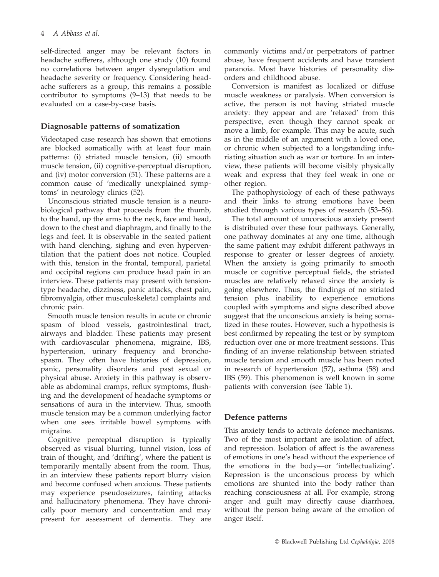self-directed anger may be relevant factors in headache sufferers, although one study (10) found no correlations between anger dysregulation and headache severity or frequency. Considering headache sufferers as a group, this remains a possible contributor to symptoms (9–13) that needs to be evaluated on a case-by-case basis.

#### **Diagnosable patterns of somatization**

Videotaped case research has shown that emotions are blocked somatically with at least four main patterns: (i) striated muscle tension, (ii) smooth muscle tension, (ii) cognitive-perceptual disruption, and (iv) motor conversion (51). These patterns are a common cause of 'medically unexplained symptoms' in neurology clinics (52).

Unconscious striated muscle tension is a neurobiological pathway that proceeds from the thumb, to the hand, up the arms to the neck, face and head, down to the chest and diaphragm, and finally to the legs and feet. It is observable in the seated patient with hand clenching, sighing and even hyperventilation that the patient does not notice. Coupled with this, tension in the frontal, temporal, parietal and occipital regions can produce head pain in an interview. These patients may present with tensiontype headache, dizziness, panic attacks, chest pain, fibromyalgia, other musculoskeletal complaints and chronic pain.

Smooth muscle tension results in acute or chronic spasm of blood vessels, gastrointestinal tract, airways and bladder. These patients may present with cardiovascular phenomena, migraine, IBS, hypertension, urinary frequency and bronchospasm. They often have histories of depression, panic, personality disorders and past sexual or physical abuse. Anxiety in this pathway is observable as abdominal cramps, reflux symptoms, flushing and the development of headache symptoms or sensations of aura in the interview. Thus, smooth muscle tension may be a common underlying factor when one sees irritable bowel symptoms with migraine.

Cognitive perceptual disruption is typically observed as visual blurring, tunnel vision, loss of train of thought, and 'drifting', where the patient is temporarily mentally absent from the room. Thus, in an interview these patients report blurry vision and become confused when anxious. These patients may experience pseudoseizures, fainting attacks and hallucinatory phenomena. They have chronically poor memory and concentration and may present for assessment of dementia. They are

commonly victims and/or perpetrators of partner abuse, have frequent accidents and have transient paranoia. Most have histories of personality disorders and childhood abuse.

Conversion is manifest as localized or diffuse muscle weakness or paralysis. When conversion is active, the person is not having striated muscle anxiety: they appear and are 'relaxed' from this perspective, even though they cannot speak or move a limb, for example. This may be acute, such as in the middle of an argument with a loved one, or chronic when subjected to a longstanding infuriating situation such as war or torture. In an interview, these patients will become visibly physically weak and express that they feel weak in one or other region.

The pathophysiology of each of these pathways and their links to strong emotions have been studied through various types of research (53–56).

The total amount of unconscious anxiety present is distributed over these four pathways. Generally, one pathway dominates at any one time, although the same patient may exhibit different pathways in response to greater or lesser degrees of anxiety. When the anxiety is going primarily to smooth muscle or cognitive perceptual fields, the striated muscles are relatively relaxed since the anxiety is going elsewhere. Thus, the findings of no striated tension plus inability to experience emotions coupled with symptoms and signs described above suggest that the unconscious anxiety is being somatized in these routes. However, such a hypothesis is best confirmed by repeating the test or by symptom reduction over one or more treatment sessions. This finding of an inverse relationship between striated muscle tension and smooth muscle has been noted in research of hypertension (57), asthma (58) and IBS (59). This phenomenon is well known in some patients with conversion (see Table 1).

#### **Defence patterns**

This anxiety tends to activate defence mechanisms. Two of the most important are isolation of affect, and repression. Isolation of affect is the awareness of emotions in one's head without the experience of the emotions in the body—or 'intellectualizing'. Repression is the unconscious process by which emotions are shunted into the body rather than reaching consciousness at all. For example, strong anger and guilt may directly cause diarrhoea, without the person being aware of the emotion of anger itself.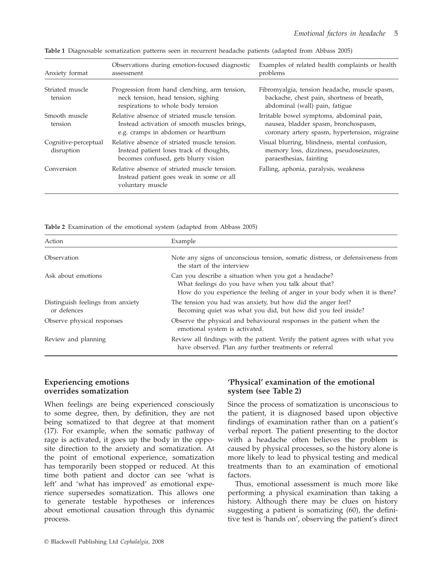| Anxiety format                     | Observations during emotion-focused diagnostic<br>assessment                                                                        | Examples of related health complaints or health<br>problems                                                                        |
|------------------------------------|-------------------------------------------------------------------------------------------------------------------------------------|------------------------------------------------------------------------------------------------------------------------------------|
| Striated muscle<br>tension         | Progression from hand clenching, arm tension,<br>neck tension, head tension, sighing<br>respirations to whole body tension          | Fibromyalgia, tension headache, muscle spasm,<br>backache, chest pain, shortness of breath,<br>abdominal (wall) pain, fatigue      |
| Smooth muscle<br>tension           | Relative absence of striated muscle tension.<br>Instead activation of smooth muscles brings,<br>e.g. cramps in abdomen or heartburn | Irritable bowel symptoms, abdominal pain,<br>nausea, bladder spasm, bronchospasm,<br>coronary artery spasm, hypertension, migraine |
| Cognitive-perceptual<br>disruption | Relative absence of striated muscle tension.<br>Instead patient loses track of thoughts,<br>becomes confused, gets blurry vision    | Visual blurring, blindness, mental confusion,<br>memory loss, dizziness, pseudoseizures,<br>paraesthesias, fainting                |
| Conversion                         | Relative absence of striated muscle tension.<br>Instead patient goes weak in some or all<br>voluntary muscle                        | Falling, aphonia, paralysis, weakness                                                                                              |

**Table 1** Diagnosable somatization patterns seen in recurrent headache patients (adapted from Abbass 2005)

**Table 2** Examination of the emotional system (adapted from Abbass 2005)

| Action                                           | Example                                                                                                                                                                                   |  |
|--------------------------------------------------|-------------------------------------------------------------------------------------------------------------------------------------------------------------------------------------------|--|
| Observation                                      | Note any signs of unconscious tension, somatic distress, or defensiveness from<br>the start of the interview                                                                              |  |
| Ask about emotions                               | Can you describe a situation when you got a headache?<br>What feelings do you have when you talk about that?<br>How do you experience the feeling of anger in your body when it is there? |  |
| Distinguish feelings from anxiety<br>or defences | The tension you had was anxiety, but how did the anger feel?<br>Becoming quiet was what you did, but how did you feel inside?                                                             |  |
| Observe physical responses                       | Observe the physical and behavioural responses in the patient when the<br>emotional system is activated.                                                                                  |  |
| Review and planning                              | Review all findings with the patient. Verify the patient agrees with what you<br>have observed. Plan any further treatments or referral                                                   |  |

#### **Experiencing emotions overrides somatization**

When feelings are being experienced consciously to some degree, then, by definition, they are not being somatized to that degree at that moment (17). For example, when the somatic pathway of rage is activated, it goes up the body in the opposite direction to the anxiety and somatization. At the point of emotional experience, somatization has temporarily been stopped or reduced. At this time both patient and doctor can see 'what is left' and 'what has improved' as emotional experience supersedes somatization. This allows one to generate testable hypotheses or inferences about emotional causation through this dynamic process.

#### **'Physical' examination of the emotional system (see Table 2)**

Since the process of somatization is unconscious to the patient, it is diagnosed based upon objective findings of examination rather than on a patient's verbal report. The patient presenting to the doctor with a headache often believes the problem is caused by physical processes, so the history alone is more likely to lead to physical testing and medical treatments than to an examination of emotional factors.

Thus, emotional assessment is much more like performing a physical examination than taking a history. Although there may be clues on history suggesting a patient is somatizing (60), the definitive test is 'hands on', observing the patient's direct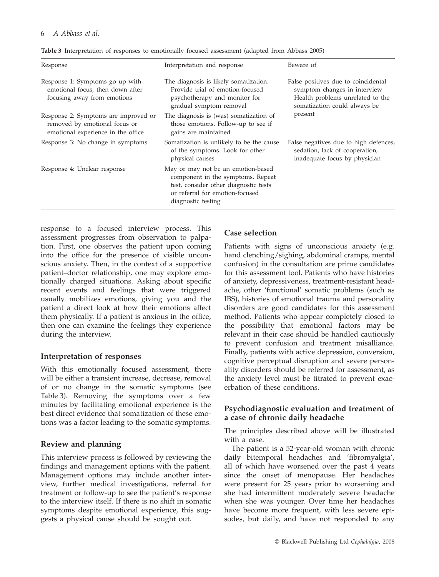| Response                                                                                                    | Interpretation and response                                                                                                                                               | Beware of                                                                                                                                          |
|-------------------------------------------------------------------------------------------------------------|---------------------------------------------------------------------------------------------------------------------------------------------------------------------------|----------------------------------------------------------------------------------------------------------------------------------------------------|
| Response 1: Symptoms go up with<br>emotional focus, then down after<br>focusing away from emotions          | The diagnosis is likely somatization.<br>Provide trial of emotion-focused<br>psychotherapy and monitor for<br>gradual symptom removal                                     | False positives due to coincidental<br>symptom changes in interview<br>Health problems unrelated to the<br>somatization could always be<br>present |
| Response 2: Symptoms are improved or<br>removed by emotional focus or<br>emotional experience in the office | The diagnosis is (was) somatization of<br>those emotions. Follow-up to see if<br>gains are maintained                                                                     |                                                                                                                                                    |
| Response 3: No change in symptoms                                                                           | Somatization is unlikely to be the cause<br>of the symptoms. Look for other<br>physical causes                                                                            | False negatives due to high defences,<br>sedation, lack of cooperation,<br>inadequate focus by physician                                           |
| Response 4: Unclear response                                                                                | May or may not be an emotion-based<br>component in the symptoms. Repeat<br>test, consider other diagnostic tests<br>or referral for emotion-focused<br>diagnostic testing |                                                                                                                                                    |

**Table 3** Interpretation of responses to emotionally focused assessment (adapted from Abbass 2005)

response to a focused interview process. This assessment progresses from observation to palpation. First, one observes the patient upon coming into the office for the presence of visible unconscious anxiety. Then, in the context of a supportive patient–doctor relationship, one may explore emotionally charged situations. Asking about specific recent events and feelings that were triggered usually mobilizes emotions, giving you and the patient a direct look at how their emotions affect them physically. If a patient is anxious in the office, then one can examine the feelings they experience during the interview.

#### **Interpretation of responses**

With this emotionally focused assessment, there will be either a transient increase, decrease, removal of or no change in the somatic symptoms (see Table 3). Removing the symptoms over a few minutes by facilitating emotional experience is the best direct evidence that somatization of these emotions was a factor leading to the somatic symptoms.

#### **Review and planning**

This interview process is followed by reviewing the findings and management options with the patient. Management options may include another interview, further medical investigations, referral for treatment or follow-up to see the patient's response to the interview itself. If there is no shift in somatic symptoms despite emotional experience, this suggests a physical cause should be sought out.

#### **Case selection**

Patients with signs of unconscious anxiety (e.g. hand clenching/sighing, abdominal cramps, mental confusion) in the consultation are prime candidates for this assessment tool. Patients who have histories of anxiety, depressiveness, treatment-resistant headache, other 'functional' somatic problems (such as IBS), histories of emotional trauma and personality disorders are good candidates for this assessment method. Patients who appear completely closed to the possibility that emotional factors may be relevant in their case should be handled cautiously to prevent confusion and treatment misalliance. Finally, patients with active depression, conversion, cognitive perceptual disruption and severe personality disorders should be referred for assessment, as the anxiety level must be titrated to prevent exacerbation of these conditions.

#### **Psychodiagnostic evaluation and treatment of a case of chronic daily headache**

The principles described above will be illustrated with a case.

The patient is a 52-year-old woman with chronic daily bitemporal headaches and 'fibromyalgia', all of which have worsened over the past 4 years since the onset of menopause. Her headaches were present for 25 years prior to worsening and she had intermittent moderately severe headache when she was younger. Over time her headaches have become more frequent, with less severe episodes, but daily, and have not responded to any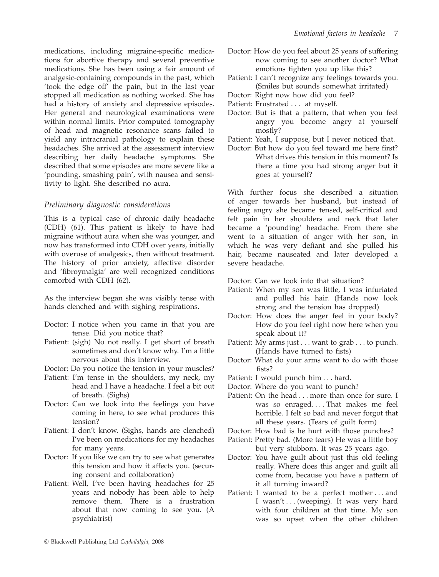medications, including migraine-specific medications for abortive therapy and several preventive medications. She has been using a fair amount of analgesic-containing compounds in the past, which 'took the edge off' the pain, but in the last year stopped all medication as nothing worked. She has had a history of anxiety and depressive episodes. Her general and neurological examinations were within normal limits. Prior computed tomography of head and magnetic resonance scans failed to yield any intracranial pathology to explain these headaches. She arrived at the assessment interview describing her daily headache symptoms. She described that some episodes are more severe like a 'pounding, smashing pain', with nausea and sensitivity to light. She described no aura.

#### *Preliminary diagnostic considerations*

This is a typical case of chronic daily headache (CDH) (61). This patient is likely to have had migraine without aura when she was younger, and now has transformed into CDH over years, initially with overuse of analgesics, then without treatment. The history of prior anxiety, affective disorder and 'fibroymalgia' are well recognized conditions comorbid with CDH (62).

As the interview began she was visibly tense with hands clenched and with sighing respirations.

- Doctor: I notice when you came in that you are tense. Did you notice that?
- Patient: (sigh) No not really. I get short of breath sometimes and don't know why. I'm a little nervous about this interview.
- Doctor: Do you notice the tension in your muscles?
- Patient: I'm tense in the shoulders, my neck, my head and I have a headache. I feel a bit out of breath. (Sighs)
- Doctor: Can we look into the feelings you have coming in here, to see what produces this tension?
- Patient: I don't know. (Sighs, hands are clenched) I've been on medications for my headaches for many years.
- Doctor: If you like we can try to see what generates this tension and how it affects you. (securing consent and collaboration)
- Patient: Well, I've been having headaches for 25 years and nobody has been able to help remove them. There is a frustration about that now coming to see you. (A psychiatrist)
- Doctor: How do you feel about 25 years of suffering now coming to see another doctor? What emotions tighten you up like this?
- Patient: I can't recognize any feelings towards you. (Smiles but sounds somewhat irritated)
- Doctor: Right now how did you feel?
- Patient: Frustrated . . . at myself.
- Doctor: But is that a pattern, that when you feel angry you become angry at yourself mostly?
- Patient: Yeah, I suppose, but I never noticed that.
- Doctor: But how do you feel toward me here first? What drives this tension in this moment? Is there a time you had strong anger but it goes at yourself?

With further focus she described a situation of anger towards her husband, but instead of feeling angry she became tensed, self-critical and felt pain in her shoulders and neck that later became a 'pounding' headache. From there she went to a situation of anger with her son, in which he was very defiant and she pulled his hair, became nauseated and later developed a severe headache.

Doctor: Can we look into that situation?

- Patient: When my son was little, I was infuriated and pulled his hair. (Hands now look strong and the tension has dropped)
- Doctor: How does the anger feel in your body? How do you feel right now here when you speak about it?
- Patient: My arms just . . . want to grab . . . to punch. (Hands have turned to fists)
- Doctor: What do your arms want to do with those fists?
- Patient: I would punch him . . . hard.
- Doctor: Where do you want to punch?
- Patient: On the head . . . more than once for sure. I was so enraged.... That makes me feel horrible. I felt so bad and never forgot that all these years. (Tears of guilt form)
- Doctor: How bad is he hurt with those punches?
- Patient: Pretty bad. (More tears) He was a little boy but very stubborn. It was 25 years ago.
- Doctor: You have guilt about just this old feeling really. Where does this anger and guilt all come from, because you have a pattern of it all turning inward?
- Patient: I wanted to be a perfect mother . . . and I wasn't... (weeping). It was very hard with four children at that time. My son was so upset when the other children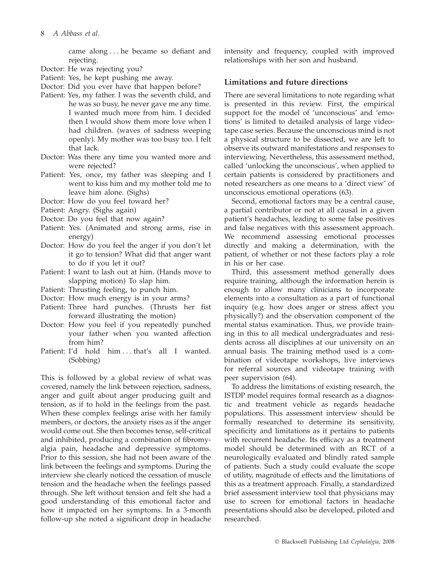came along . . . he became so defiant and rejecting.

- Doctor: He was rejecting you?
- Patient: Yes, he kept pushing me away.
- Doctor: Did you ever have that happen before?
- Patient: Yes, my father. I was the seventh child, and he was so busy, he never gave me any time. I wanted much more from him. I decided then I would show them more love when I had children. (waves of sadness weeping openly). My mother was too busy too. I felt that lack.
- Doctor: Was there any time you wanted more and were rejected?
- Patient: Yes, once, my father was sleeping and I went to kiss him and my mother told me to leave him alone. (Sighs)
- Doctor: How do you feel toward her?
- Patient: Angry. (Sighs again)
- Doctor: Do you feel that now again?
- Patient: Yes. (Animated and strong arms, rise in energy)
- Doctor: How do you feel the anger if you don't let it go to tension? What did that anger want to do if you let it out?
- Patient: I want to lash out at him. (Hands move to slapping motion) To slap him.
- Patient: Thrusting feeling, to punch him.
- Doctor: How much energy is in your arms?
- Patient: Three hard punches. (Thrusts her fist forward illustrating the motion)
- Doctor: How you feel if you repeatedly punched your father when you wanted affection from him?
- Patient: I'd hold him... that's all I wanted. (Sobbing)

This is followed by a global review of what was covered, namely the link between rejection, sadness, anger and guilt about anger producing guilt and tension, as if to hold in the feelings from the past. When these complex feelings arise with her family members, or doctors, the anxiety rises as if the anger would come out. She then becomes tense, self-critical and inhibited, producing a combination of fibromyalgia pain, headache and depressive symptoms. Prior to this session, she had not been aware of the link between the feelings and symptoms. During the interview she clearly noticed the cessation of muscle tension and the headache when the feelings passed through. She left without tension and felt she had a good understanding of this emotional factor and how it impacted on her symptoms. In a 3-month follow-up she noted a significant drop in headache intensity and frequency, coupled with improved relationships with her son and husband.

#### **Limitations and future directions**

There are several limitations to note regarding what is presented in this review. First, the empirical support for the model of 'unconscious' and 'emotions' is limited to detailed analysis of large videotape case series. Because the unconscious mind is not a physical structure to be dissected, we are left to observe its outward manifestations and responses to interviewing. Nevertheless, this assessment method, called 'unlocking the unconscious', when applied to certain patients is considered by practitioners and noted researchers as one means to a 'direct view' of unconscious emotional operations (63).

Second, emotional factors may be a central cause, a partial contributor or not at all causal in a given patient's headaches, leading to some false positives and false negatives with this assessment approach. We recommend assessing emotional processes directly and making a determination, with the patient, of whether or not these factors play a role in his or her case.

Third, this assessment method generally does require training, although the information herein is enough to allow many clinicians to incorporate elements into a consultation as a part of functional inquiry (e.g. how does anger or stress affect you physically?) and the observation component of the mental status examination. Thus, we provide training in this to all medical undergraduates and residents across all disciplines at our university on an annual basis. The training method used is a combination of videotape workshops, live interviews for referral sources and videotape training with peer supervision (64).

To address the limitations of existing research, the ISTDP model requires formal research as a diagnostic and treatment vehicle as regards headache populations. This assessment interview should be formally researched to determine its sensitivity, specificity and limitations as it pertains to patients with recurrent headache. Its efficacy as a treatment model should be determined with an RCT of a neurologically evaluated and blindly rated sample of patients. Such a study could evaluate the scope of utility, magnitude of effects and the limitations of this as a treatment approach. Finally, a standardized brief assessment interview tool that physicians may use to screen for emotional factors in headache presentations should also be developed, piloted and researched.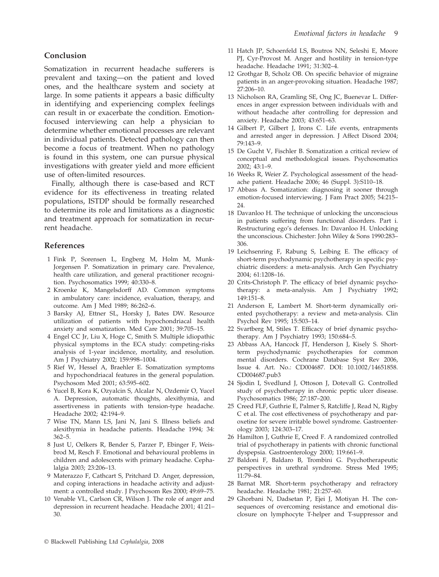#### **Conclusion**

Somatization in recurrent headache sufferers is prevalent and taxing—on the patient and loved ones, and the healthcare system and society at large. In some patients it appears a basic difficulty in identifying and experiencing complex feelings can result in or exacerbate the condition. Emotionfocused interviewing can help a physician to determine whether emotional processes are relevant in individual patients. Detected pathology can then become a focus of treatment. When no pathology is found in this system, one can pursue physical investigations with greater yield and more efficient use of often-limited resources.

Finally, although there is case-based and RCT evidence for its effectiveness in treating related populations, ISTDP should be formally researched to determine its role and limitations as a diagnostic and treatment approach for somatization in recurrent headache.

#### **References**

- 1 Fink P, Sorensen L, Engberg M, Holm M, Munk-Jorgensen P. Somatization in primary care. Prevalence, health care utilization, and general practitioner recognition. Psychosomatics 1999; 40:330–8.
- 2 Kroenke K, Mangelsdorff AD. Common symptoms in ambulatory care: incidence, evaluation, therapy, and outcome. Am J Med 1989; 86:262–6.
- 3 Barsky AJ, Ettner SL, Horsky J, Bates DW. Resource utilization of patients with hypochondriacal health anxiety and somatization. Med Care 2001; 39:705–15.
- 4 Engel CC Jr, Liu X, Hoge C, Smith S. Multiple idiopathic physical symptoms in the ECA study: competing-risks analysis of 1-year incidence, mortality, and resolution. Am J Psychiatry 2002; 159:998–1004.
- 5 Rief W, Hessel A, Braehler E. Somatization symptoms and hypochondriacal features in the general population. Psychosom Med 2001; 63:595–602.
- 6 Yucel B, Kora K, Ozyalcin S, Alcalar N, Ozdemir O, Yucel A. Depression, automatic thoughts, alexithymia, and assertiveness in patients with tension-type headache. Headache 2002; 42:194–9.
- 7 Wise TN, Mann LS, Jani N, Jani S. Illness beliefs and alexithymia in headache patients. Headache 1994; 34: 362–5.
- 8 Just U, Oelkers R, Bender S, Parzer P, Ebinger F, Weisbrod M, Resch F. Emotional and behavioural problems in children and adolescents with primary headache. Cephalalgia 2003; 23:206–13.
- 9 Materazzo F, Cathcart S, Pritchard D. Anger, depression, and coping interactions in headache activity and adjustment: a controlled study. J Psychosom Res 2000; 49:69–75.
- 10 Venable VL, Carlson CR, Wilson J. The role of anger and depression in recurrent headache. Headache 2001; 41:21– 30.
- 11 Hatch JP, Schoenfeld LS, Boutros NN, Seleshi E, Moore PJ, Cyr-Provost M. Anger and hostility in tension-type headache. Headache 1991; 31:302–4.
- 12 Grothgar B, Scholz OB. On specific behavior of migraine patients in an anger-provoking situation. Headache 1987; 27:206–10.
- 13 Nicholson RA, Gramling SE, Ong JC, Buenevar L. Differences in anger expression between individuals with and without headache after controlling for depression and anxiety. Headache 2003; 43:651–63.
- 14 Gilbert P, Gilbert J, Irons C. Life events, entrapments and arrested anger in depression. J Affect Disord 2004; 79:143–9.
- 15 De Gucht V, Fischler B. Somatization a critical review of conceptual and methodological issues. Psychosomatics 2002; 43:1–9.
- 16 Weeks R, Weier Z. Psychological assessment of the headache patient. Headache 2006; 46 (Suppl. 3):S110–18.
- 17 Abbass A. Somatization: diagnosing it sooner through emotion-focused interviewing. J Fam Pract 2005; 54:215– 24.
- 18 Davanloo H. The technique of unlocking the unconscious in patients suffering from functional disorders. Part i. Restructuring ego's defenses. In: Davanloo H. Unlocking the unconscious. Chichester: John Wiley & Sons 1990:283– 306.
- 19 Leichsenring F, Rabung S, Leibing E. The efficacy of short-term psychodynamic psychotherapy in specific psychiatric disorders: a meta-analysis. Arch Gen Psychiatry 2004; 61:1208–16.
- 20 Crits-Christoph P. The efficacy of brief dynamic psychotherapy: a meta-analysis. Am J Psychiatry 1992; 149:151–8.
- 21 Anderson E, Lambert M. Short-term dynamically oriented psychotherapy: a review and meta-analysis. Clin Psychol Rev 1995; 15:503–14.
- 22 Svartberg M, Stiles T. Efficacy of brief dynamic psychotherapy. Am J Psychiatry 1993; 150:684–5.
- 23 Abbass AA, Hancock JT, Henderson J, Kisely S. Shortterm psychodynamic psychotherapies for common mental disorders. Cochrane Database Syst Rev 2006, Issue 4. Art. No.: CD004687. DOI: 10.1002/14651858. CD004687.pub3
- 24 Sjodin I, Svedlund J, Ottoson J, Dotevall G. Controlled study of psychotherapy in chronic peptic ulcer disease. Psychosomatics 1986; 27:187–200.
- 25 Creed FLF, Guthrie E, Palmer S, Ratcliffe J, Read N, Rigby C et al. The cost effectiveness of psychotherapy and paroxetine for severe irritable bowel syndrome. Gastroenterology 2003; 124:303–17.
- 26 Hamilton J, Guthrie E, Creed F. A randomized controlled trial of psychotherapy in patients with chronic functional dyspepsia. Gastroenterology 2000; 119:661–9.
- 27 Baldoni F, Baldaro B, Trombini G. Psychotherapeutic perspectives in urethral syndrome. Stress Med 1995; 11:79–84.
- 28 Barnat MR. Short-term psychotherapy and refractory headache. Headache 1981; 21:257–60.
- 29 Ghorbani N, Dadsetan P, Ejei J, Motiyan H. The consequences of overcoming resistance and emotional disclosure on lymphocyte T-helper and T-suppressor and